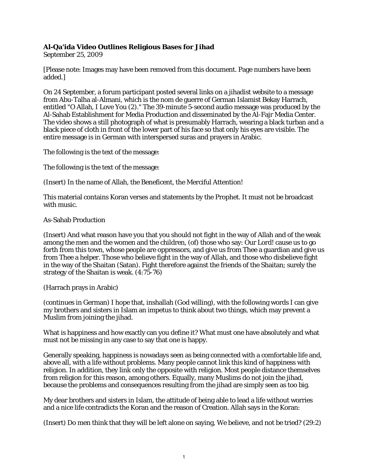## **Al-Qa'ida Video Outlines Religious Bases for Jihad**

September 25, 2009

[Please note: Images may have been removed from this document. Page numbers have been added.]

On 24 September, a forum participant posted several links on a jihadist website to a message from Abu-Talha al-Almani, which is the nom de guerre of German Islamist Bekay Harrach, entitled "O Allah, I Love You (2)." The 39-minute 5-second audio message was produced by the Al-Sahab Establishment for Media Production and disseminated by the Al-Fajr Media Center. The video shows a still photograph of what is presumably Harrach, wearing a black turban and a black piece of cloth in front of the lower part of his face so that only his eyes are visible. The entire message is in German with interspersed suras and prayers in Arabic.

The following is the text of the message:

The following is the text of the message:

(Insert) In the name of Allah, the Beneficent, the Merciful Attention!

This material contains Koran verses and statements by the Prophet. It must not be broadcast with music.

As-Sahab Production

(Insert) And what reason have you that you should not fight in the way of Allah and of the weak among the men and the women and the children, (of) those who say: Our Lord! cause us to go forth from this town, whose people are oppressors, and give us from Thee a guardian and give us from Thee a helper. Those who believe fight in the way of Allah, and those who disbelieve fight in the way of the Shaitan (Satan). Fight therefore against the friends of the Shaitan; surely the strategy of the Shaitan is weak. (4:75-76)

(Harrach prays in Arabic)

(continues in German) I hope that, inshallah (God willing), with the following words I can give my brothers and sisters in Islam an impetus to think about two things, which may prevent a Muslim from joining the jihad.

What is happiness and how exactly can you define it? What must one have absolutely and what must not be missing in any case to say that one is happy.

Generally speaking, happiness is nowadays seen as being connected with a comfortable life and, above all, with a life without problems. Many people cannot link this kind of happiness with religion. In addition, they link only the opposite with religion. Most people distance themselves from religion for this reason, among others. Equally, many Muslims do not join the jihad, because the problems and consequences resulting from the jihad are simply seen as too big.

My dear brothers and sisters in Islam, the attitude of being able to lead a life without worries and a nice life contradicts the Koran and the reason of Creation. Allah says in the Koran:

(Insert) Do men think that they will be left alone on saying, We believe, and not be tried? (29:2)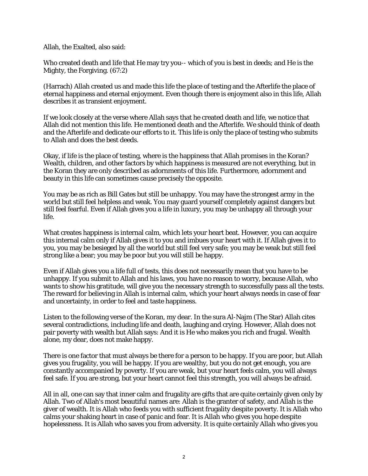Allah, the Exalted, also said:

Who created death and life that He may try you-- which of you is best in deeds; and He is the Mighty, the Forgiving. (67:2)

(Harrach) Allah created us and made this life the place of testing and the Afterlife the place of eternal happiness and eternal enjoyment. Even though there is enjoyment also in this life, Allah describes it as transient enjoyment.

If we look closely at the verse where Allah says that he created death and life, we notice that Allah did not mention this life. He mentioned death and the Afterlife. We should think of death and the Afterlife and dedicate our efforts to it. This life is only the place of testing who submits to Allah and does the best deeds.

Okay, if life is the place of testing, where is the happiness that Allah promises in the Koran? Wealth, children, and other factors by which happiness is measured are not everything, but in the Koran they are only described as adornments of this life. Furthermore, adornment and beauty in this life can sometimes cause precisely the opposite.

You may be as rich as Bill Gates but still be unhappy. You may have the strongest army in the world but still feel helpless and weak. You may guard yourself completely against dangers but still feel fearful. Even if Allah gives you a life in luxury, you may be unhappy all through your life.

What creates happiness is internal calm, which lets your heart beat. However, you can acquire this internal calm only if Allah gives it to you and imbues your heart with it. If Allah gives it to you, you may be besieged by all the world but still feel very safe; you may be weak but still feel strong like a bear; you may be poor but you will still be happy.

Even if Allah gives you a life full of tests, this does not necessarily mean that you have to be unhappy. If you submit to Allah and his laws, you have no reason to worry, because Allah, who wants to show his gratitude, will give you the necessary strength to successfully pass all the tests. The reward for believing in Allah is internal calm, which your heart always needs in case of fear and uncertainty, in order to feel and taste happiness.

Listen to the following verse of the Koran, my dear. In the sura Al-Najm (The Star) Allah cites several contradictions, including life and death, laughing and crying. However, Allah does not pair poverty with wealth but Allah says: And it is He who makes you rich and frugal. Wealth alone, my dear, does not make happy.

There is one factor that must always be there for a person to be happy. If you are poor, but Allah gives you frugality, you will be happy. If you are wealthy, but you do not get enough, you are constantly accompanied by poverty. If you are weak, but your heart feels calm, you will always feel safe. If you are strong, but your heart cannot feel this strength, you will always be afraid.

All in all, one can say that inner calm and frugality are gifts that are quite certainly given only by Allah. Two of Allah's most beautiful names are: Allah is the granter of safety, and Allah is the giver of wealth. It is Allah who feeds you with sufficient frugality despite poverty. It is Allah who calms your shaking heart in case of panic and fear. It is Allah who gives you hope despite hopelessness. It is Allah who saves you from adversity. It is quite certainly Allah who gives you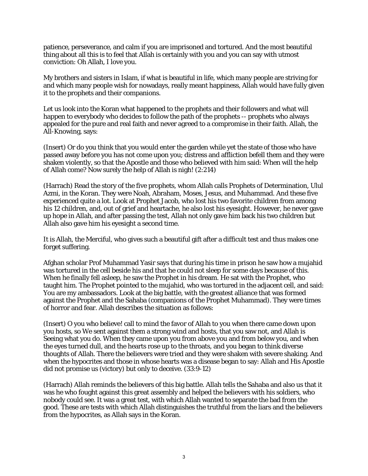patience, perseverance, and calm if you are imprisoned and tortured. And the most beautiful thing about all this is to feel that Allah is certainly with you and you can say with utmost conviction: Oh Allah, I love you.

My brothers and sisters in Islam, if what is beautiful in life, which many people are striving for and which many people wish for nowadays, really meant happiness, Allah would have fully given it to the prophets and their companions.

Let us look into the Koran what happened to the prophets and their followers and what will happen to everybody who decides to follow the path of the prophets -- prophets who always appealed for the pure and real faith and never agreed to a compromise in their faith. Allah, the All-Knowing, says:

(Insert) Or do you think that you would enter the garden while yet the state of those who have passed away before you has not come upon you; distress and affliction befell them and they were shaken violently, so that the Apostle and those who believed with him said: When will the help of Allah come? Now surely the help of Allah is nigh! (2:214)

(Harrach) Read the story of the five prophets, whom Allah calls Prophets of Determination, Ulul Azmi, in the Koran. They were Noah, Abraham, Moses, Jesus, and Muhammad. And these five experienced quite a lot. Look at Prophet Jacob, who lost his two favorite children from among his 12 children, and, out of grief and heartache, he also lost his eyesight. However, he never gave up hope in Allah, and after passing the test, Allah not only gave him back his two children but Allah also gave him his eyesight a second time.

It is Allah, the Merciful, who gives such a beautiful gift after a difficult test and thus makes one forget suffering.

Afghan scholar Prof Muhammad Yasir says that during his time in prison he saw how a mujahid was tortured in the cell beside his and that he could not sleep for some days because of this. When he finally fell asleep, he saw the Prophet in his dream. He sat with the Prophet, who taught him. The Prophet pointed to the mujahid, who was tortured in the adjacent cell, and said: You are my ambassadors. Look at the big battle, with the greatest alliance that was formed against the Prophet and the Sahaba (companions of the Prophet Muhammad). They were times of horror and fear. Allah describes the situation as follows:

(Insert) O you who believe! call to mind the favor of Allah to you when there came down upon you hosts, so We sent against them a strong wind and hosts, that you saw not, and Allah is Seeing what you do. When they came upon you from above you and from below you, and when the eyes turned dull, and the hearts rose up to the throats, and you began to think diverse thoughts of Allah. There the believers were tried and they were shaken with severe shaking. And when the hypocrites and those in whose hearts was a disease began to say: Allah and His Apostle did not promise us (victory) but only to deceive. (33:9-12)

(Harrach) Allah reminds the believers of this big battle. Allah tells the Sahaba and also us that it was he who fought against this great assembly and helped the believers with his soldiers, who nobody could see. It was a great test, with which Allah wanted to separate the bad from the good. These are tests with which Allah distinguishes the truthful from the liars and the believers from the hypocrites, as Allah says in the Koran.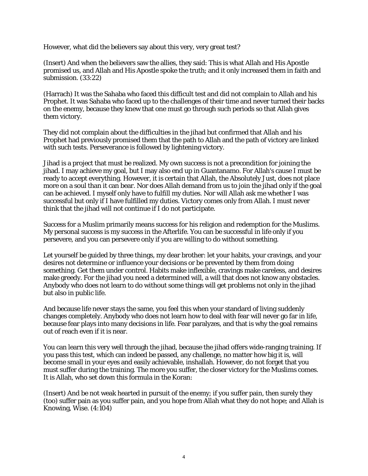However, what did the believers say about this very, very great test?

(Insert) And when the believers saw the allies, they said: This is what Allah and His Apostle promised us, and Allah and His Apostle spoke the truth; and it only increased them in faith and submission. (33:22)

(Harrach) It was the Sahaba who faced this difficult test and did not complain to Allah and his Prophet. It was Sahaba who faced up to the challenges of their time and never turned their backs on the enemy, because they knew that one must go through such periods so that Allah gives them victory.

They did not complain about the difficulties in the jihad but confirmed that Allah and his Prophet had previously promised them that the path to Allah and the path of victory are linked with such tests. Perseverance is followed by lightening victory.

Jihad is a project that must be realized. My own success is not a precondition for joining the jihad. I may achieve my goal, but I may also end up in Guantanamo. For Allah's cause I must be ready to accept everything. However, it is certain that Allah, the Absolutely Just, does not place more on a soul than it can bear. Nor does Allah demand from us to join the jihad only if the goal can be achieved. I myself only have to fulfill my duties. Nor will Allah ask me whether I was successful but only if I have fulfilled my duties. Victory comes only from Allah. I must never think that the jihad will not continue if I do not participate.

Success for a Muslim primarily means success for his religion and redemption for the Muslims. My personal success is my success in the Afterlife. You can be successful in life only if you persevere, and you can persevere only if you are willing to do without something.

Let yourself be guided by three things, my dear brother: let your habits, your cravings, and your desires not determine or influence your decisions or be prevented by them from doing something. Get them under control. Habits make inflexible, cravings make careless, and desires make greedy. For the jihad you need a determined will, a will that does not know any obstacles. Anybody who does not learn to do without some things will get problems not only in the jihad but also in public life.

And because life never stays the same, you feel this when your standard of living suddenly changes completely. Anybody who does not learn how to deal with fear will never go far in life, because fear plays into many decisions in life. Fear paralyzes, and that is why the goal remains out of reach even if it is near.

You can learn this very well through the jihad, because the jihad offers wide-ranging training. If you pass this test, which can indeed be passed, any challenge, no matter how big it is, will become small in your eyes and easily achievable, inshallah. However, do not forget that you must suffer during the training. The more you suffer, the closer victory for the Muslims comes. It is Allah, who set down this formula in the Koran:

(Insert) And be not weak hearted in pursuit of the enemy; if you suffer pain, then surely they (too) suffer pain as you suffer pain, and you hope from Allah what they do not hope; and Allah is Knowing, Wise. (4:104)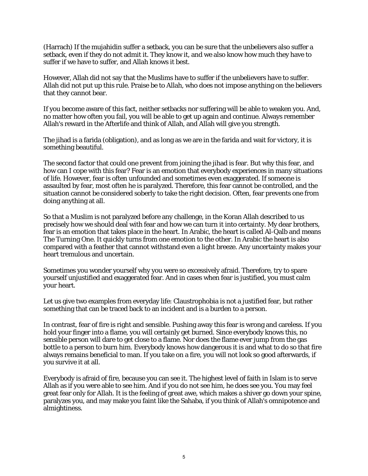(Harrach) If the mujahidin suffer a setback, you can be sure that the unbelievers also suffer a setback, even if they do not admit it. They know it, and we also know how much they have to suffer if we have to suffer, and Allah knows it best.

However, Allah did not say that the Muslims have to suffer if the unbelievers have to suffer. Allah did not put up this rule. Praise be to Allah, who does not impose anything on the believers that they cannot bear.

If you become aware of this fact, neither setbacks nor suffering will be able to weaken you. And, no matter how often you fail, you will be able to get up again and continue. Always remember Allah's reward in the Afterlife and think of Allah, and Allah will give you strength.

The jihad is a farida (obligation), and as long as we are in the farida and wait for victory, it is something beautiful.

The second factor that could one prevent from joining the jihad is fear. But why this fear, and how can I cope with this fear? Fear is an emotion that everybody experiences in many situations of life. However, fear is often unfounded and sometimes even exaggerated. If someone is assaulted by fear, most often he is paralyzed. Therefore, this fear cannot be controlled, and the situation cannot be considered soberly to take the right decision. Often, fear prevents one from doing anything at all.

So that a Muslim is not paralyzed before any challenge, in the Koran Allah described to us precisely how we should deal with fear and how we can turn it into certainty. My dear brothers, fear is an emotion that takes place in the heart. In Arabic, the heart is called Al-Qalb and means The Turning One. It quickly turns from one emotion to the other. In Arabic the heart is also compared with a feather that cannot withstand even a light breeze. Any uncertainty makes your heart tremulous and uncertain.

Sometimes you wonder yourself why you were so excessively afraid. Therefore, try to spare yourself unjustified and exaggerated fear. And in cases when fear is justified, you must calm your heart.

Let us give two examples from everyday life: Claustrophobia is not a justified fear, but rather something that can be traced back to an incident and is a burden to a person.

In contrast, fear of fire is right and sensible. Pushing away this fear is wrong and careless. If you hold your finger into a flame, you will certainly get burned. Since everybody knows this, no sensible person will dare to get close to a flame. Nor does the flame ever jump from the gas bottle to a person to burn him. Everybody knows how dangerous it is and what to do so that fire always remains beneficial to man. If you take on a fire, you will not look so good afterwards, if you survive it at all.

Everybody is afraid of fire, because you can see it. The highest level of faith in Islam is to serve Allah as if you were able to see him. And if you do not see him, he does see you. You may feel great fear only for Allah. It is the feeling of great awe, which makes a shiver go down your spine, paralyzes you, and may make you faint like the Sahaba, if you think of Allah's omnipotence and almightiness.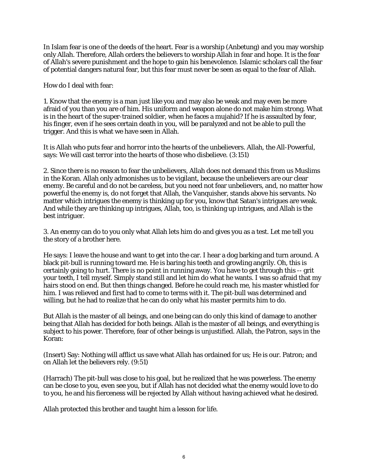In Islam fear is one of the deeds of the heart. Fear is a worship (Anbetung) and you may worship only Allah. Therefore, Allah orders the believers to worship Allah in fear and hope. It is the fear of Allah's severe punishment and the hope to gain his benevolence. Islamic scholars call the fear of potential dangers natural fear, but this fear must never be seen as equal to the fear of Allah.

How do I deal with fear:

1. Know that the enemy is a man just like you and may also be weak and may even be more afraid of you than you are of him. His uniform and weapon alone do not make him strong. What is in the heart of the super-trained soldier, when he faces a mujahid? If he is assaulted by fear, his finger, even if he sees certain death in you, will be paralyzed and not be able to pull the trigger. And this is what we have seen in Allah.

It is Allah who puts fear and horror into the hearts of the unbelievers. Allah, the All-Powerful, says: We will cast terror into the hearts of those who disbelieve. (3:151)

2. Since there is no reason to fear the unbelievers, Allah does not demand this from us Muslims in the Koran. Allah only admonishes us to be vigilant, because the unbelievers are our clear enemy. Be careful and do not be careless, but you need not fear unbelievers, and, no matter how powerful the enemy is, do not forget that Allah, the Vanquisher, stands above his servants. No matter which intrigues the enemy is thinking up for you, know that Satan's intrigues are weak. And while they are thinking up intrigues, Allah, too, is thinking up intrigues, and Allah is the best intriguer.

3. An enemy can do to you only what Allah lets him do and gives you as a test. Let me tell you the story of a brother here.

He says: I leave the house and want to get into the car. I hear a dog barking and turn around. A black pit-bull is running toward me. He is baring his teeth and growling angrily. Oh, this is certainly going to hurt. There is no point in running away. You have to get through this -- grit your teeth, I tell myself. Simply stand still and let him do what he wants. I was so afraid that my hairs stood on end. But then things changed. Before he could reach me, his master whistled for him. I was relieved and first had to come to terms with it. The pit-bull was determined and willing, but he had to realize that he can do only what his master permits him to do.

But Allah is the master of all beings, and one being can do only this kind of damage to another being that Allah has decided for both beings. Allah is the master of all beings, and everything is subject to his power. Therefore, fear of other beings is unjustified. Allah, the Patron, says in the Koran:

(Insert) Say: Nothing will afflict us save what Allah has ordained for us; He is our. Patron; and on Allah let the believers rely. (9:51)

(Harrach) The pit-bull was close to his goal, but he realized that he was powerless. The enemy can be close to you, even see you, but if Allah has not decided what the enemy would love to do to you, he and his fierceness will be rejected by Allah without having achieved what he desired.

Allah protected this brother and taught him a lesson for life.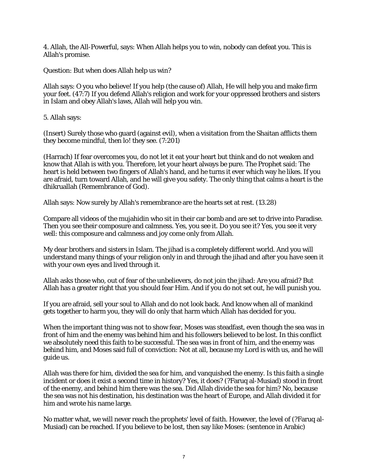4. Allah, the All-Powerful, says: When Allah helps you to win, nobody can defeat you. This is Allah's promise.

Question: But when does Allah help us win?

Allah says: O you who believe! If you help (the cause of) Allah, He will help you and make firm your feet. (47:7) If you defend Allah's religion and work for your oppressed brothers and sisters in Islam and obey Allah's laws, Allah will help you win.

5. Allah says:

(Insert) Surely those who guard (against evil), when a visitation from the Shaitan afflicts them they become mindful, then lo! they see. (7:201)

(Harrach) If fear overcomes you, do not let it eat your heart but think and do not weaken and know that Allah is with you. Therefore, let your heart always be pure. The Prophet said: The heart is held between two fingers of Allah's hand, and he turns it ever which way he likes. If you are afraid, turn toward Allah, and he will give you safety. The only thing that calms a heart is the dhikruallah (Remembrance of God).

Allah says: Now surely by Allah's remembrance are the hearts set at rest. (13.28)

Compare all videos of the mujahidin who sit in their car bomb and are set to drive into Paradise. Then you see their composure and calmness. Yes, you see it. Do you see it? Yes, you see it very well: this composure and calmness and joy come only from Allah.

My dear brothers and sisters in Islam. The jihad is a completely different world. And you will understand many things of your religion only in and through the jihad and after you have seen it with your own eyes and lived through it.

Allah asks those who, out of fear of the unbelievers, do not join the jihad: Are you afraid? But Allah has a greater right that you should fear Him. And if you do not set out, he will punish you.

If you are afraid, sell your soul to Allah and do not look back. And know when all of mankind gets together to harm you, they will do only that harm which Allah has decided for you.

When the important thing was not to show fear, Moses was steadfast, even though the sea was in front of him and the enemy was behind him and his followers believed to be lost. In this conflict we absolutely need this faith to be successful. The sea was in front of him, and the enemy was behind him, and Moses said full of conviction: Not at all, because my Lord is with us, and he will guide us.

Allah was there for him, divided the sea for him, and vanquished the enemy. Is this faith a single incident or does it exist a second time in history? Yes, it does? (?Faruq al-Musiad) stood in front of the enemy, and behind him there was the sea. Did Allah divide the sea for him? No, because the sea was not his destination, his destination was the heart of Europe, and Allah divided it for him and wrote his name large.

No matter what, we will never reach the prophets' level of faith. However, the level of (?Faruq al-Musiad) can be reached. If you believe to be lost, then say like Moses: (sentence in Arabic)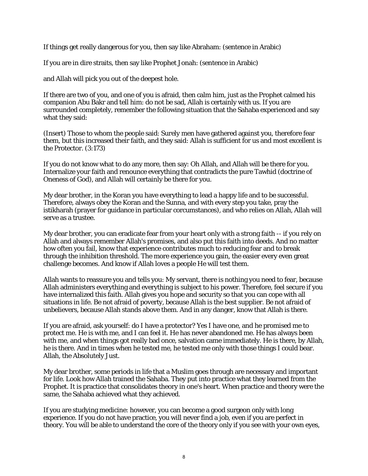If things get really dangerous for you, then say like Abraham: (sentence in Arabic)

If you are in dire straits, then say like Prophet Jonah: (sentence in Arabic)

and Allah will pick you out of the deepest hole.

If there are two of you, and one of you is afraid, then calm him, just as the Prophet calmed his companion Abu Bakr and tell him: do not be sad, Allah is certainly with us. If you are surrounded completely, remember the following situation that the Sahaba experienced and say what they said:

(Insert) Those to whom the people said: Surely men have gathered against you, therefore fear them, but this increased their faith, and they said: Allah is sufficient for us and most excellent is the Protector. (3:173)

If you do not know what to do any more, then say: Oh Allah, and Allah will be there for you. Internalize your faith and renounce everything that contradicts the pure Tawhid (doctrine of Oneness of God), and Allah will certainly be there for you.

My dear brother, in the Koran you have everything to lead a happy life and to be successful. Therefore, always obey the Koran and the Sunna, and with every step you take, pray the istikharah (prayer for guidance in particular corcumstances), and who relies on Allah, Allah will serve as a trustee.

My dear brother, you can eradicate fear from your heart only with a strong faith -- if you rely on Allah and always remember Allah's promises, and also put this faith into deeds. And no matter how often you fail, know that experience contributes much to reducing fear and to break through the inhibition threshold. The more experience you gain, the easier every even great challenge becomes. And know if Allah loves a people He will test them.

Allah wants to reassure you and tells you: My servant, there is nothing you need to fear, because Allah administers everything and everything is subject to his power. Therefore, feel secure if you have internalized this faith. Allah gives you hope and security so that you can cope with all situations in life. Be not afraid of poverty, because Allah is the best supplier. Be not afraid of unbelievers, because Allah stands above them. And in any danger, know that Allah is there.

If you are afraid, ask yourself: do I have a protector? Yes I have one, and he promised me to protect me. He is with me, and I can feel it. He has never abandoned me. He has always been with me, and when things got really bad once, salvation came immediately. He is there, by Allah, he is there. And in times when he tested me, he tested me only with those things I could bear. Allah, the Absolutely Just.

My dear brother, some periods in life that a Muslim goes through are necessary and important for life. Look how Allah trained the Sahaba. They put into practice what they learned from the Prophet. It is practice that consolidates theory in one's heart. When practice and theory were the same, the Sahaba achieved what they achieved.

If you are studying medicine: however, you can become a good surgeon only with long experience. If you do not have practice, you will never find a job, even if you are perfect in theory. You will be able to understand the core of the theory only if you see with your own eyes,